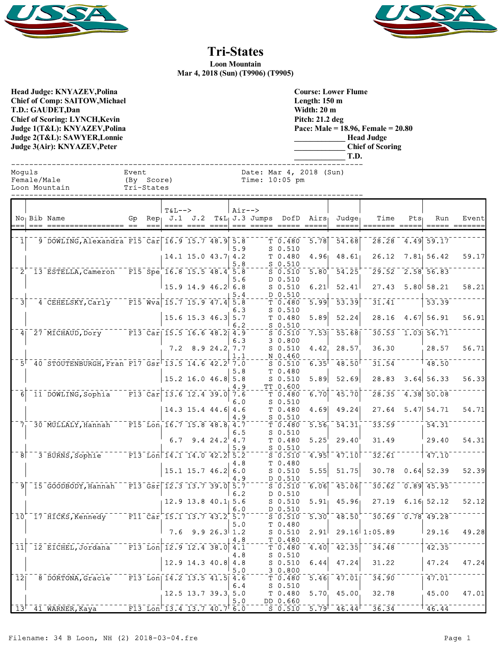



## **Tri-States**

**Loon Mountain Mar 4, 2018 (Sun) (T9906) (T9905)**

**Head Judge: KNYAZEV,Polina Chief of Comp: SAITOW,Michael T.D.: GAUDET,Dan Chief of Scoring: LYNCH,Kevin Judge 1(T&L): KNYAZEV,Polina Judge 2(T&L): SAWYER,Lonnie Judge 3(Air): KNYAZEV,Peter** 

**Course: Lower Flume Length: 150 m Width: 20 m Pitch: 21.2 deg Pace: Male = 18.96, Female = 20.80 \_\_\_\_\_\_\_\_\_\_\_\_\_ Head Judge \_\_\_\_\_\_\_\_\_\_\_\_\_ Chief of Scoring \_\_\_\_\_\_\_\_\_\_\_\_\_ T.D.**

Event Date: Mar 4, 2018 (Sun)<br>(By Score) Time: 10:05 pm

Time:  $10:05$  pm

| Moquls        | Event      |
|---------------|------------|
| Female/Male   | (By Score) |
| Loon Mountain | Tri-States |

Tri-States

|                  |                                                                                                    |         | $T&L-->$                                             |                |                      | $Air--$ |                                          |                                                                                                                         |                                |                     |                                             |         |                    |       |
|------------------|----------------------------------------------------------------------------------------------------|---------|------------------------------------------------------|----------------|----------------------|---------|------------------------------------------|-------------------------------------------------------------------------------------------------------------------------|--------------------------------|---------------------|---------------------------------------------|---------|--------------------|-------|
|                  | No <sub>1</sub> Bib Name                                                                           |         |                                                      |                |                      |         | Gp Rep $J.1$ J.2 T&L J.3 Jumps DofD Airs |                                                                                                                         |                                | Judge               | Time                                        | $Pts_1$ | Run                | Event |
|                  |                                                                                                    | $= = =$ |                                                      | ==== ==== ==== |                      |         |                                          |                                                                                                                         | $= = = = =$                    | $= = = = =$         |                                             |         |                    |       |
|                  |                                                                                                    |         |                                                      |                |                      |         |                                          |                                                                                                                         |                                |                     |                                             |         |                    |       |
| $\mathbf{1}$     | 9 DOWLING, Alexandra F15 Car 16.9 15.7 48.9 5.8                                                    |         |                                                      |                |                      |         |                                          | T 0.480                                                                                                                 | $\overline{5.78}$              | 54.68               | 28.28                                       |         | $-4.49$ 59.17      |       |
|                  |                                                                                                    |         |                                                      |                |                      | 5.9     |                                          | $S$ 0.510                                                                                                               |                                |                     |                                             |         |                    |       |
|                  |                                                                                                    |         |                                                      |                | $14.1$ 15.0 43.7 4.2 |         |                                          | T 0.480                                                                                                                 | 4.96                           | 48.61               | $26.12$ $7.81$ 56.42                        |         |                    | 59.17 |
|                  |                                                                                                    |         |                                                      |                |                      | 5.8     |                                          | $S$ 0.510                                                                                                               |                                |                     |                                             |         |                    |       |
|                  | $2^{+1}$ 13 ESTELLA, Cameron F15 Spe 16.8 15.5 48.4 5.8                                            |         |                                                      |                |                      |         |                                          | $S_0.510$                                                                                                               | 5.80                           | $\bar{54}.\bar{25}$ | $29.52 - 2.58$ 56.83                        |         |                    |       |
|                  |                                                                                                    |         |                                                      |                |                      | 5.6     |                                          | D 0.510                                                                                                                 |                                |                     |                                             |         |                    |       |
|                  |                                                                                                    |         |                                                      |                | $15.9$ 14.9 46.2 6.8 |         |                                          | $S$ 0.510                                                                                                               | 6.21                           | 52.41               | 27.43                                       |         | 5.80 58.21         | 58.21 |
|                  |                                                                                                    |         |                                                      |                |                      | 5.4     |                                          | D 0.510                                                                                                                 |                                |                     |                                             |         |                    |       |
| $\overline{3}$   | 4 CEHELSKY, Carly F15 Wva 15.7 15.9 47.4 5.8                                                       |         |                                                      |                |                      |         |                                          | T 0.480                                                                                                                 | $\overline{5.99}$              | $\overline{53.39}$  | 31.41                                       |         | 53.39              |       |
|                  |                                                                                                    |         |                                                      |                |                      | 6.3     |                                          | $S_0.510$                                                                                                               |                                |                     |                                             |         |                    |       |
|                  |                                                                                                    |         |                                                      |                | $15.6$ 15.3 46.3 5.7 |         |                                          | T 0.480                                                                                                                 | 5.89                           | 52.24               | 28.16                                       |         | $4.67$ 56.91       | 56.91 |
|                  |                                                                                                    |         |                                                      |                |                      | 6.2     |                                          | $S$ 0.510                                                                                                               |                                |                     |                                             |         |                    |       |
|                  | 4 27 MICHAUD, Dory F13 Car 15.5 16.6 48.2 4.9                                                      |         |                                                      |                |                      |         |                                          | $S$ 0.510                                                                                                               | 7.53                           | 55.68               | $30.53 - 1.03$ 56.71                        |         |                    |       |
|                  |                                                                                                    |         |                                                      |                |                      | 6.3     |                                          | 30.800                                                                                                                  |                                |                     |                                             |         |                    |       |
|                  |                                                                                                    |         |                                                      |                | $7.2$ 8.9 24.2 7.7   |         |                                          |                                                                                                                         |                                |                     |                                             |         |                    | 56.71 |
|                  |                                                                                                    |         |                                                      |                |                      |         |                                          | $S$ 0.510                                                                                                               | 4.42                           | 28.57               | 36.30                                       |         | 28.57              |       |
|                  |                                                                                                    |         |                                                      |                |                      | 1.1     |                                          | N 0.460                                                                                                                 |                                |                     |                                             |         |                    |       |
|                  | $5^{\dagger}$ 40 STOUTENBURGH, Fran F17 Gsr <sup><math>-13.5</math></sup> 14.6 42.2 7.0            |         |                                                      |                |                      |         |                                          | $S$ 0.510                                                                                                               | 6.35                           | 48.50               | 31.54                                       |         | 148.50             |       |
|                  |                                                                                                    |         |                                                      |                |                      | 5.8     |                                          | T 0.480                                                                                                                 |                                |                     |                                             |         |                    |       |
|                  |                                                                                                    |         |                                                      |                | $15.2$ 16.0 46.8 5.8 |         |                                          | $S_0.510$                                                                                                               | 5.89                           | 52.69               | 28.83                                       |         | $3.64$ 56.33       | 56.33 |
|                  |                                                                                                    |         |                                                      |                |                      | 4.9     |                                          | TT 0.600                                                                                                                |                                |                     |                                             |         |                    |       |
| 6 <sup>1</sup>   | <sup>11</sup> DOWLING, Sophia F13 Car 13.6 12.4 39.0 7.6                                           |         |                                                      |                |                      |         |                                          | T <sub>0.480</sub>                                                                                                      | $\overline{6.70}$              | 45.70               | $28.35 - 4.38$ 50.08                        |         |                    |       |
|                  |                                                                                                    |         |                                                      |                |                      | 6.0     |                                          | $S$ 0.510                                                                                                               |                                |                     |                                             |         |                    |       |
|                  |                                                                                                    |         |                                                      |                | $14.3$ 15.4 44.6 4.6 |         |                                          | T 0.480                                                                                                                 | 4.69                           | 49.24               |                                             |         | $27.64$ 5.47 54.71 | 54.71 |
|                  |                                                                                                    |         |                                                      |                |                      | 4.9     |                                          | $S_0.510$                                                                                                               |                                |                     |                                             |         |                    |       |
|                  | $7^{--}_130$ MULLALY, Hannah F15 Lon 16.7 15.8 48.8 4.7                                            |         |                                                      |                |                      |         |                                          | T <sub>0.480</sub>                                                                                                      | 5.56                           | $\overline{54.31}$  | 33.59                                       |         | 54.31              |       |
|                  |                                                                                                    |         |                                                      |                |                      | 6.5     |                                          | $S$ 0.510                                                                                                               |                                |                     |                                             |         |                    |       |
|                  |                                                                                                    |         | 6.7                                                  |                | 9.4 $24.2$ 4.7       |         |                                          | T 0.480                                                                                                                 | 5.25                           | 29.40               | 31.49                                       |         | 29.40              | 54.31 |
|                  |                                                                                                    |         |                                                      |                |                      | 5.9     |                                          | $S$ 0.510                                                                                                               |                                |                     |                                             |         |                    |       |
|                  | 78 7 3 BURNS, Sophie 77 8 13 Lon 14.1 14.0 42.2 5.2                                                |         |                                                      |                |                      |         |                                          | $S$ 0.510                                                                                                               | 4.95                           | 47.10               | 32.61                                       |         | 147.10             |       |
|                  |                                                                                                    |         |                                                      |                |                      | 4.8     |                                          | T 0.480                                                                                                                 |                                |                     |                                             |         |                    |       |
|                  |                                                                                                    |         |                                                      |                | $15.1$ 15.7 46.2 6.0 |         |                                          | $S$ 0.510                                                                                                               | 5.55                           | 51.75               | 30.78                                       |         | $0.64$ 52.39       | 52.39 |
|                  |                                                                                                    |         |                                                      |                |                      | 1.9     |                                          | D 0.510                                                                                                                 |                                |                     |                                             |         |                    |       |
|                  | <sup>-</sup> 9 <sup><math>-15</math></sup> GOODBODY, Hannah F13 Gsr <sup>-12.3</sup> 13.7 39.0 5.7 |         |                                                      |                |                      |         |                                          | $\overline{\mathsf{s}}$ $\overline{\mathsf{0}}$ $\overline{\mathsf{s}}$ $\overline{\mathsf{1}}$ $\overline{\mathsf{0}}$ | 6.06                           | 45.06               | 30.62                                       |         | $0.89$ 45.95       |       |
|                  |                                                                                                    |         |                                                      |                |                      | 6.2     |                                          | D 0.510                                                                                                                 |                                |                     |                                             |         |                    |       |
|                  |                                                                                                    |         |                                                      |                | $12.9$ 13.8 40.1 5.6 |         |                                          | $S$ 0.510                                                                                                               | 5.91                           | 45.96               | 27.19                                       |         | $6.16$ $52.12$     | 52.12 |
|                  |                                                                                                    |         |                                                      |                |                      | 6.0     |                                          | D 0.510                                                                                                                 |                                |                     |                                             |         |                    |       |
|                  | $10^{+}$ 17 HICKS, Kennedy F11 Car 15.1 13.7 43.2 5.7                                              |         |                                                      |                |                      |         |                                          | $S_0.510$                                                                                                               | 5.30                           | 48.50               | $\sqrt{30.69}$ $\sqrt{0.78}$ $\sqrt{49.28}$ |         |                    |       |
|                  |                                                                                                    |         |                                                      |                |                      | 5.0     |                                          | T 0.480                                                                                                                 |                                |                     |                                             |         |                    |       |
|                  |                                                                                                    |         |                                                      |                | $7.6$ 9.9 26.3 1.2   |         |                                          | $S$ 0.510                                                                                                               | 2.91                           |                     | $29.16$ 1:05.89                             |         | 29.16              | 49.28 |
|                  |                                                                                                    |         |                                                      |                |                      | 4.8     |                                          | T 0.480                                                                                                                 |                                |                     |                                             |         |                    |       |
| ⊺נֿ ⊺            | $-12$ EICHEL, Jordana $-$ F13 Lon 12.9 12.4 38.0 4.1                                               |         |                                                      |                |                      |         |                                          | $\bar{\tau}$ $\bar{0}$ .480 $\bar{\tau}$                                                                                | 4.40                           | $\overline{42.35}$  | 34.48                                       |         | 42.35              |       |
|                  |                                                                                                    |         |                                                      |                |                      | 4.8     |                                          | $S_0.510$                                                                                                               |                                |                     |                                             |         |                    |       |
|                  |                                                                                                    |         |                                                      |                | $12.9$ 14.3 40.8 4.8 |         |                                          | $S$ 0.510                                                                                                               | 6.44                           | 47.24               | 31.22                                       |         | 47.24              | 47.24 |
|                  |                                                                                                    |         |                                                      |                |                      | 5.0     |                                          | 30.800                                                                                                                  |                                |                     |                                             |         |                    |       |
| $\bar{1}\bar{2}$ | 8 DORTONA, Gracie F13 Lon 14.2 13.5 41.5 4.6                                                       |         |                                                      |                |                      |         |                                          | T 0.480                                                                                                                 | 5.46                           | 47.01               | $\overline{34.90}$                          |         | 47.01              |       |
|                  |                                                                                                    |         |                                                      |                |                      | 6.4     |                                          | $S$ 0.510                                                                                                               |                                |                     |                                             |         |                    |       |
|                  |                                                                                                    |         |                                                      |                | $12.5$ 13.7 39.3 5.0 |         |                                          | T 0.480                                                                                                                 | 5.70                           | 45.00               | 32.78                                       |         | 45.00              | 47.01 |
|                  |                                                                                                    |         |                                                      |                |                      | 5.0     |                                          | DD 0.660                                                                                                                |                                |                     |                                             |         |                    |       |
|                  | $13^{+2}41$ WARNER, Kaya                                                                           |         | $\overline{F13}$ Lon $\overline{13.4}$ 13.7 40.7 6.0 |                |                      |         |                                          | $S_0.510$                                                                                                               | $\overline{5.79}$ <sup>T</sup> | $-46.44$            | 36.34                                       |         | 146.44             |       |
|                  |                                                                                                    |         |                                                      |                |                      |         |                                          |                                                                                                                         |                                |                     |                                             |         |                    |       |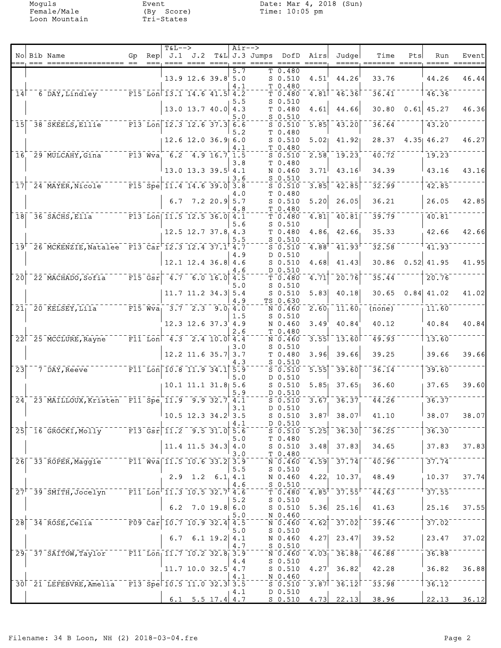|                            |                                                                           |    | <b>T&amp;L--&gt;</b>                                     |                                      |            | $Air--$                 |                                                                                             |                      |                                                         |                              |     |                  |       |
|----------------------------|---------------------------------------------------------------------------|----|----------------------------------------------------------|--------------------------------------|------------|-------------------------|---------------------------------------------------------------------------------------------|----------------------|---------------------------------------------------------|------------------------------|-----|------------------|-------|
|                            | No Bib Name                                                               | Gp | Rep $J.1$ $J.2$                                          | ==== ==== ====                       | $= = =$    | T&L J.3 Jumps DofD Airs |                                                                                             |                      | Judge                                                   | Time<br>=====, ======= ===== | Pts | Run              | Event |
|                            |                                                                           |    |                                                          | $13.9$ $12.6$ $39.8$ $5.0$           | 5.7<br>4.1 |                         | T 0.480<br>$S$ 0.510<br>T 0.480                                                             | 4.51                 | 44.26                                                   | 33.76                        |     | 44.26            | 46.44 |
| $\overline{1}\overline{4}$ | 6 DAY, Lindley F15 Lon 13.1 14.6 41.5 4.2                                 |    |                                                          |                                      |            |                         | T <sub>0.480</sub>                                                                          | 4.81                 | 46.36                                                   | 36.41                        |     | 46.36            |       |
|                            |                                                                           |    |                                                          | $13.0$ 13.7 40.0 4.3                 | 5.5<br>5.0 |                         | $S_0.510$<br>T 0.480<br>$S$ 0.510                                                           | 4.61                 | 44.66                                                   | 30.80                        |     | $0.61$ 45.27     | 46.36 |
| 15 <sup>1</sup>            | $-38$ SKEELS, Ellie                                                       |    | $\overline{F13}$ Lon 12.3 12.6 37.3 6.6                  |                                      |            |                         | $S_0.510$                                                                                   | $\overline{5.85}$    | 43.20                                                   | 36.64                        |     | 43.20            |       |
|                            |                                                                           |    |                                                          | $12.6$ 12.0 36.9 6.0                 | 5.2<br>4.1 |                         | T 0.480<br>$S$ 0.510<br>T 0.480                                                             | 5.02                 | 41.92                                                   |                              |     | 28.37 4.35 46.27 | 46.27 |
| 16 <sup>2</sup>            | 29 MULCAHY, Gina                                                          |    | $F13$ Wva 6.2 4.9 16.7 1.5                               |                                      |            |                         | $S_0.510$                                                                                   | 2.58                 | $\left\lceil \overline{19.23}\right\rceil$              | 40.72                        |     | 19.23            |       |
|                            |                                                                           |    |                                                          | $13.0$ $13.3$ $39.5$ $4.1$           | 3.8<br>3.6 |                         | T 0.480<br>N 0.460<br>$S_0.510$                                                             | 3.71                 | 43.16                                                   | 34.39                        |     | 43.16            | 43.16 |
| 17 <sup>1</sup>            | 24 MAYER, Nicole                                                          |    | $\sqrt{15}$ Spe 11.4 14.6 39.0 3.8                       |                                      |            |                         | $S$ 0.510                                                                                   | 3.85                 | $\overline{42.85}$                                      | 32.99                        |     | 42.85            |       |
|                            |                                                                           |    |                                                          | 6.7 7.2 20.9 5.7                     | 4.O<br>4.8 |                         | T 0.480<br>$S$ 0.510<br>T 0.480                                                             | 5.20                 | 26.05                                                   | 36.21                        |     | 26.05            | 42.85 |
|                            | $18$ <sup><math>-36</math></sup> SACHS, Ella                              |    | $F13$ Lon 11.5 12.5 36.0 4.1                             |                                      |            |                         | T <sub>0.480</sub>                                                                          | 4.81                 | 40.81                                                   | $\overline{39.79}$           |     | 40.81            |       |
|                            |                                                                           |    |                                                          | $12.5$ $12.7$ $37.8$ $4.3$           | 5.6<br>5.5 |                         | $S_0.510$<br>T 0.480<br>$S$ 0.510                                                           | 4.86                 | 42.66                                                   | 35.33                        |     | 42.66            | 42.66 |
|                            | 19 26 MCKENZIE, Natalee F13 Car 12.3 12.4 37.1 4.7                        |    |                                                          |                                      | 4.9        |                         | $S_0.510$<br>D 0.510                                                                        | 4.88                 | 41.93                                                   | 32.58                        |     | 71.93            |       |
|                            |                                                                           |    |                                                          | $12.1$ 12.4 36.8 4.6                 | 4.6        |                         | $S$ 0.510<br>D 0.510                                                                        | 4.68                 | 41.43                                                   | 30.86                        |     | $0.52$ 41.95     | 41.95 |
| $\overline{20}$            | $\overline{22}$ MACHADO, Sofia                                            |    | $\overline{F15}$ Gsr $^{-4}$ $\overline{7}$ 6.0 16.0 4.5 |                                      | 5.0        |                         | $T$ 0.480<br>$S$ 0.510                                                                      | 4.71                 | 20.76                                                   | 35.44                        |     | 20.76            |       |
|                            |                                                                           |    |                                                          | $11.7$ 11.2 34.3 5.4                 | 4.9        |                         | $S$ 0.510<br>TS 0.630                                                                       | 5.83                 | 40.18                                                   | 30.65                        |     | $0.84$ 41.02     | 41.02 |
| 21 <sub>1</sub>            | 20 KELSEY, Lila                                                           |    | $\overline{F15}$ Wva <sub>l</sub> 3.7 2.3 9.0 4.0        |                                      | 1.5        |                         | N 0.460<br>$S$ 0.510                                                                        | $2.60_1$             | 11.60                                                   | (none)                       |     | 11.60            |       |
|                            |                                                                           |    |                                                          | $12.3$ $12.6$ $37.3$ $4.9$           | 2.6        |                         | N 0.460<br>T 0.480                                                                          | 3.49                 | 40.84                                                   | 40.12                        |     | 40.84            | 40.84 |
|                            | 22 25 MCCLURE, Rayne                                                      |    | $\text{F11}$ Lon <sup>-4.3</sup> 2.4 10.0 4.4            |                                      | 3.0        |                         | N 0.460<br>$S_0.510$                                                                        | 3.55                 | $\overline{\phantom{a}}$ 13.60 $\overline{\phantom{a}}$ | 49.93                        |     | 13.60            |       |
|                            |                                                                           |    |                                                          | $12.2$ 11.6 35.7 3.7                 | 4.3        |                         | T 0.480<br>$S_0.510$                                                                        | 3.96                 | 39.66                                                   | 39.25                        |     | 39.66            | 39.66 |
| $\overline{2}3$            | 7 DAY, Reeve                                                              |    | $\overline{F11}$ Lon 10.8 11.9 34.1 5.9                  |                                      | 5.0        |                         | $S_0.510$<br>D 0.510                                                                        | $\overline{5.55}$    | 39.60                                                   | 36.14                        |     | 39.60            |       |
|                            |                                                                           |    |                                                          | $10.1$ 11.1 31.8 5.6                 | 5.9        |                         | $S_0.510$<br>D 0.510                                                                        | 5.85                 | 37.651                                                  | 36.60                        |     | 37.65            | 39.60 |
| 24                         | 23 MAILLOUX, Kristen F11 Spe 11.9 9.9 32.7 4.1                            |    |                                                          |                                      | 3.1        |                         | $S_0.510$<br>D 0.510                                                                        | 3.67                 | 36.37                                                   | 44.26                        |     | 36.37            |       |
|                            |                                                                           |    |                                                          | $10.5$ 12.3 34.2 3.5                 | 4.1        |                         | $S$ 0.510<br>D 0.510                                                                        |                      | $3.87$ 38.07                                            | 41.10                        |     | 38.07            | 38.07 |
|                            | 25 16 GROCKI, Molly F13 Gsr 11.2 9.5 31.0 5.6                             |    |                                                          |                                      | 5.0        |                         | $\overline{\text{s}}$ $\overline{\text{0.510}}$ $\overline{\text{0}}$<br>T <sub>0.480</sub> | $5.25$ <sup>-1</sup> | 36.30                                                   | 36.25                        |     | 36.30            |       |
|                            |                                                                           |    |                                                          | $11.4$ 11.5 34.3 4.0                 | 3.0        |                         | $S$ 0.510<br>$T$ 0.480                                                                      | 3.48                 | 37.83                                                   | 34.65                        |     | 37.83            | 37.83 |
|                            | 26 33 ROPER, Maggie F11 Wva 11.5 10.6 33.2 3.9                            |    |                                                          |                                      | 5.5        |                         | $\bar{N}$ 0.460 $\bar{N}$<br>$S_0.510$                                                      |                      | $\overline{4.59}$ $\overline{37.74}$                    | 40.96                        |     | 37.74            |       |
|                            |                                                                           |    |                                                          | $2.9$ 1.2 6.1 4.1                    | 4.6        |                         | N 0.460<br>$S_0.510$                                                                        |                      | 4.22, 10.37                                             | 48.49                        |     | 10.37            | 37.74 |
|                            | $27^{\dagger}$ 39 SMITH, Jocelyn F11 Lon 11.3 10.5 32.7 4.6               |    |                                                          |                                      | 5.2        |                         | $\bar{T}$ $\bar{0}$ .480 $^{-1}$<br>$S_0.510$                                               |                      | $4.85^{\dagger}$ 37.55 $^{\dagger}$                     | 44.63                        |     | 37.55            |       |
|                            |                                                                           |    |                                                          | $6.2$ 7.0 19.8 6.0                   | 5.0        |                         | $S$ $0.510$<br>N 0.460                                                                      | 5.36                 | 25.16                                                   | 41.63                        |     | 25.16            | 37.55 |
| $\overline{28}$            | $-34$ ROSE, Celia                                                         |    | $^{-}$ F09 Car 10.7 10.9 32.4 4.5                        |                                      | 5.0        |                         | $N = 0.460$<br>$S$ 0.510                                                                    | 4.62                 | 37.02                                                   | 39.46                        |     | 37.02            |       |
|                            |                                                                           |    |                                                          | $6.7 \quad 6.1 \quad 19.2 \quad 4.1$ | 4.7        |                         | N 0.460<br>$S_0.510$                                                                        | 4.27                 | 23.47                                                   | 39.52                        |     | 23.47            | 37.02 |
|                            | $291$ 37 SAITOW, Taylor                                                   |    | $\sqrt{11}$ Lon $\sqrt{11.7}$ 10.2 32.8 3.9              |                                      | 4.4        |                         | $\bar{N}$ 0.460 $\bar{N}$<br>$S_0.510$                                                      |                      | $4.03 - 36.88$                                          | 46.88                        |     | 36.88            |       |
|                            |                                                                           |    |                                                          | $11.7$ 10.0 32.5 4.7                 | 4.1        |                         | $S$ 0.510<br>$N_0.460$                                                                      | 4.27                 | 36.82                                                   | 42.28                        |     | 36.82            | 36.88 |
|                            | 30 <sup>-21</sup> LEFEBVRE, Amelia F13 Spe <sup>-10.5</sup> 11.0 32.3 3.5 |    |                                                          |                                      | 4.1        |                         | $5 - 0.510$<br>D 0.510                                                                      |                      | $3.87$ <sup>-</sup> $36.12$                             | $\overline{33.98}$           |     | 36.12            |       |
|                            |                                                                           |    |                                                          | 6.1 5.5 17.4 4.7                     |            |                         | S 0.510                                                                                     |                      |                                                         | $4.73$ $22.13$ $38.96$       |     | 22.13            | 36.12 |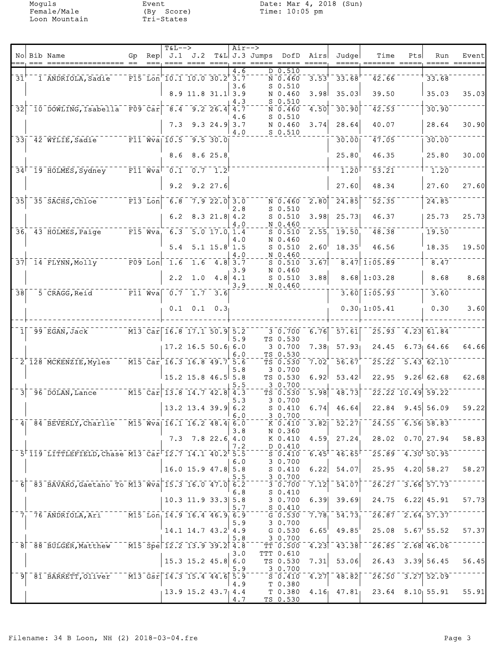|                 | No Bib Name                                                                  | Gp | $T&L-->$                                                                                                    |                            |                | $Air--$                 | Rep $J.1$ $J.2$ T&L J.3 Jumps DofD Airs |                                                         |                     | Judge                                    | Time                                   | Pts | Run                                                                | Event |
|-----------------|------------------------------------------------------------------------------|----|-------------------------------------------------------------------------------------------------------------|----------------------------|----------------|-------------------------|-----------------------------------------|---------------------------------------------------------|---------------------|------------------------------------------|----------------------------------------|-----|--------------------------------------------------------------------|-------|
|                 | === =========                                                                |    |                                                                                                             |                            |                |                         |                                         |                                                         |                     |                                          |                                        |     |                                                                    |       |
| $31^{\circ}$    | 1 ANDRIOLA, Sadie                                                            |    | $\overline{F15}$ Lon $\overline{10.1}$ 10.0 30.2 3.7                                                        |                            |                | 4.6                     |                                         | D 0.510<br>$\bar{N}$ $\bar{0}$ , $\bar{4}$ 60 $\bar{0}$ |                     | $3.53^{+1.33.68^{+1.10}}$                | $\overline{42.66}$                     |     | 33.68                                                              |       |
|                 |                                                                              |    |                                                                                                             | $8.9$ 11.8 31.1 3.9        |                | 3.6<br>4.3              |                                         | $S$ 0.510<br>N 0.460<br>$S$ 0.510                       | 3.98                | 35.03                                    | 39.50                                  |     | 35.03                                                              | 35.03 |
| $\overline{32}$ | $10$ DOWLING, Isabella F09 Car 8.4 9.2 26.4 4.7                              |    |                                                                                                             |                            |                |                         |                                         | N 0.460                                                 | $\left[4.50\right]$ | 30.90                                    | 42.53                                  |     | 30.90                                                              |       |
|                 |                                                                              |    | 7.3                                                                                                         |                            | $9.3$ 24.9 3.7 | 4.6<br>4.0              |                                         | $S$ 0.510<br>N 0.460<br>$S$ 0.510                       | 3.74                | 28.64                                    | 40.07                                  |     | 28.64                                                              | 30.90 |
|                 | 33 42 WYLIE, Sadie F11 Wva 10.5 9.5 30.0                                     |    |                                                                                                             |                            |                |                         |                                         |                                                         |                     | 30.00                                    | 47.05                                  |     | 30.00                                                              |       |
|                 |                                                                              |    |                                                                                                             | 8.6 8.6 25.8               |                |                         |                                         |                                                         |                     | 25.80                                    | 46.35                                  |     | 25.80                                                              | 30.00 |
|                 | $34^{\mid -19 \mid}$ HOLMES, Sydney F11 Wva $0.1 \mid 0.7 \mid 1.2^{\mid}$   |    |                                                                                                             |                            |                |                         |                                         |                                                         |                     | $\overline{1.20}$                        | 53.21                                  |     | $-1.20$                                                            |       |
|                 |                                                                              |    |                                                                                                             | $9.2$ $9.2$ $27.6$         |                |                         |                                         |                                                         |                     | 27.60                                    | 48.34                                  |     | 27.60                                                              | 27.60 |
|                 | 35 35 SACHS, Chloe F13 Lon 6.8                                               |    |                                                                                                             |                            | 7.922.0300     |                         |                                         | $N = 0.460$                                             | $\left[2,80\right]$ | 24.85                                    | 52.35                                  |     | 24.85                                                              |       |
|                 |                                                                              |    |                                                                                                             | 6.2 8.3 21.8 $4.2$         |                | 2.8<br>4.0              |                                         | $S$ 0.510<br>$S$ 0.510<br>N 0.460                       | 3.98                | 25.73                                    | 46.37                                  |     | 25.73                                                              | 25.73 |
|                 | $361$ $431$ HOLMES, Paige                                                    |    | $-$ F15 Wva, 6.3 5.0 17.0 1.4                                                                               |                            |                |                         |                                         | $S$ 0.510                                               | 2.55                | 19.50                                    | $\frac{1}{48}.38$                      |     | 19.50                                                              |       |
|                 |                                                                              |    |                                                                                                             | $5.4$ $5.1$ $15.8$ $1.5$   |                | 4.0<br>4.0              |                                         | N 0.460<br>$S$ 0.510<br>N 0.460                         | 2.60                | $18.35^{\circ}$                          | 46.56                                  |     | 18.35                                                              | 19.50 |
|                 | 37 14 FLYNN, Molly F09 Lon 1.6 1.6 4.8 3.7                                   |    |                                                                                                             |                            |                |                         |                                         | $S$ 0.510                                               | 3.67                |                                          | $8.47$ 1:05.89                         |     | 8.47                                                               |       |
|                 |                                                                              |    |                                                                                                             | $2.2 \quad 1.0$            |                | 3.9<br>4.8   4.1<br>3.9 |                                         | N 0.460<br>$S$ 0.510<br>N 0.460                         | 3.88                |                                          | $8.68 \mid 1:03.28$                    |     | 8.68                                                               | 8.68  |
| 38              | 5 CRAGG, Reid                                                                |    | $\overline{\texttt{F11}}$ Wva $\overline{\texttt{0.7}}$ $\overline{\texttt{1.7}}$ $\overline{\texttt{3.6}}$ |                            |                |                         |                                         |                                                         |                     |                                          | $3.60$ [1:05.93]                       |     | 3.60                                                               |       |
|                 |                                                                              |    |                                                                                                             | $0.1 \quad 0.1 \quad 0.3$  |                |                         |                                         |                                                         |                     |                                          | 0.30, 1:05.41                          |     | 0.30                                                               | 3.60  |
| 1 <sup>1</sup>  | 99 EGAN, Jack                                                                |    | M13 Car 16.8 17.1 50.9 5.2                                                                                  |                            |                |                         |                                         | 3 0.700                                                 | 6.76                | $-57.61$                                 |                                        |     | $25.93$ 4.23 61.84                                                 |       |
|                 |                                                                              |    |                                                                                                             |                            |                | 5.9                     |                                         | TS 0.530                                                |                     |                                          |                                        |     |                                                                    |       |
|                 |                                                                              |    |                                                                                                             | $17.2$ 16.5 50.6 6.0       |                | 6.0                     |                                         | 30.700<br>TS 0.530                                      | 7.38 <sub>1</sub>   | 57.93                                    | 24.45                                  |     | $6.73$ $64.66$                                                     | 64.66 |
|                 | 2 <sup>'</sup> 128 MCKENZIE, Myles                                           |    | $\overline{M15}$ Car 16.3 16.8 49.7 5.6                                                                     |                            |                | 5.8                     |                                         | TS 0.530<br>30.700                                      | $7.02^+$            | 56.67                                    |                                        |     | $25.22 - 5.43$ 62.10                                               |       |
|                 |                                                                              |    |                                                                                                             | $15.2$ 15.8 46.5 5.8       |                | 5.5                     |                                         | TS 0.530<br>3 0.700                                     | 6.92                | 53.42                                    |                                        |     | $22.95$ $9.26$ 62.68                                               | 62.68 |
| $\vert$ 3       | 96 DOLAN, Lance M15 Car 13.8 14.7 42.8 4.3                                   |    |                                                                                                             |                            |                | 5.3                     |                                         | TS 0.530<br>3 0.700                                     | $\overline{5.98}$   | 48.73                                    |                                        |     | $\bar{2}\bar{2}\bar{.}\bar{2}\bar{2}\bar{2}\bar{1}0.49\bar{5}9.22$ |       |
|                 |                                                                              |    |                                                                                                             | $13.2$ 13.4 39.9 6.2       |                | 6.0                     |                                         | $S_0.410$<br>30.700                                     | 6.74                | 46.64                                    |                                        |     | $22.84$ 9.45 56.09                                                 | 59.22 |
|                 | 4 84 BEVERLY, Charlie M15 Wva 16.1 16.2 48.4 6.0                             |    |                                                                                                             |                            |                |                         |                                         | K 0.410                                                 |                     |                                          | $3.82$   $52.27$   $24.55$ 6.56  58.83 |     |                                                                    |       |
|                 |                                                                              |    |                                                                                                             | $7.3$ $7.8$ 22.6 4.0       |                | 3.8<br>7.2              |                                         | N 0.360<br>K 0.410<br>D 0.410                           | 4.59                |                                          | $27.24$ $28.02$ $0.70$ 27.94           |     |                                                                    | 58.83 |
|                 | 5'119 LITTLEFIELD, Chase M13 Car <sup>-12.7</sup> 14.1 40.2 <sup>+</sup> 5.5 |    |                                                                                                             |                            |                |                         |                                         | S 0.410                                                 |                     | $6.45$ <sup>1</sup> $46.65$ <sup>1</sup> | $-25.89 - 4.30$ 50.95                  |     |                                                                    |       |
|                 |                                                                              |    |                                                                                                             | $16.0$ 15.9 47.8 5.8       |                | 6.0<br>5.5              |                                         | 30.700<br>$S_0.410$<br>3 0.700                          | 6.22                | 54.07                                    |                                        |     | $25.95$ 4.20 58.27                                                 | 58.27 |
|                 | 6 83 BAVARO, Gaetano To M13 Wva 15.3 16.0 47.0 6.2                           |    |                                                                                                             |                            |                |                         |                                         | $\frac{-5}{0.700}$                                      | 7.12                | $\overline{54.07}$                       |                                        |     | $\sqrt{26.27}$ $\sqrt{3.66}$ 57.73                                 |       |
|                 |                                                                              |    |                                                                                                             | $10.3$ 11.9 33.3 5.8       |                | 6.8<br>5.7              |                                         | $S_0.410$<br>30.700<br>$-50.410$                        | 6.39                | 39.69                                    | 24.75 6.22 45.91                       |     |                                                                    | 57.73 |
|                 | 7 76 ANDRIOLA, Ari M15 Lon 14.9 16.4 46.9 6.9                                |    |                                                                                                             |                            |                | 5.9                     |                                         | G 0.530<br>3 0.700                                      |                     |                                          | $7.78 - 54.73 - 26.87 - 2.64$ 57.37    |     |                                                                    |       |
|                 |                                                                              |    |                                                                                                             | $14.1$ $14.7$ $43.2$ $4.9$ |                | 5.8                     |                                         | G 0.530<br>3 0.700                                      | 6.65                | 49.85                                    | $25.08$ $5.67$ $55.52$                 |     |                                                                    | 57.37 |
|                 | 8 8 8 BULGER, Matthew 1 M15 Spe 12.2 13.9 39.2 4.8                           |    |                                                                                                             |                            |                | 3.0                     |                                         | $-\bar{\tau} \bar{\tau} - 0.500 - 4.23$<br>TTT 0.610    |                     |                                          | $-43.38$ <sup>-26.85 2.68 46.06</sup>  |     |                                                                    |       |
|                 |                                                                              |    |                                                                                                             | 15.3 15.2 45.8             |                | 6.0<br>5.9              |                                         | TS 0.530<br>3 0.700                                     | 7.31                | 53.06                                    |                                        |     | $26.43$ $3.39$ $56.45$                                             | 56.45 |
|                 | 9 81 BARRETT, Oliver M13 Gsr 14.3 15.4 44.6 5.9                              |    |                                                                                                             |                            |                |                         |                                         | S 0.410                                                 |                     | $\sqrt{4.27}$ $\sqrt{48.82}$             | $-26.50 - 3.27$ 52.09                  |     |                                                                    |       |
|                 |                                                                              |    | $13.9$ 15.2 43.7 4.4                                                                                        |                            |                | 4.9<br>4.7              |                                         | T 0.380<br>T 0.380<br>TS 0.530                          |                     |                                          | $4.16$ $47.81$ $23.64$ $8.10$ $55.91$  |     |                                                                    | 55.91 |
|                 |                                                                              |    |                                                                                                             |                            |                |                         |                                         |                                                         |                     |                                          |                                        |     |                                                                    |       |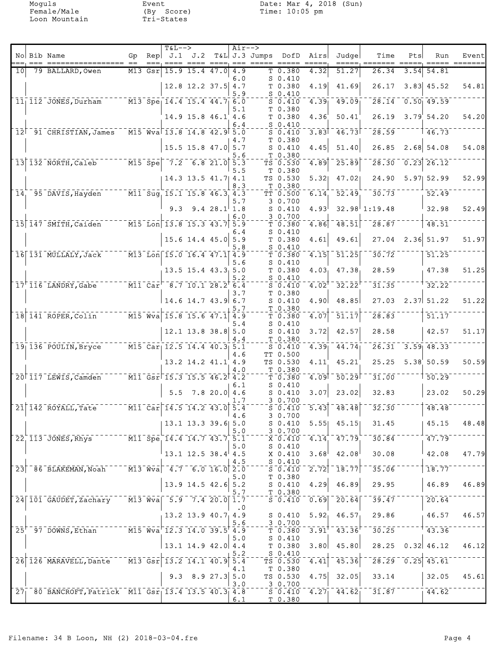Moguls Event<br>
Female/Male (By Score)<br>
Loon Mountain Tri-States

|     | No Bib Name                                                                                 | Gp |           | <b>T&amp;L--&gt;</b> |                                                                                                           |                | $Air--$ | Rep J.1 J.2 T&L J.3 Jumps DofD Airs |                                                            |                   | Judge                                               | Time                               | Pts  | Run                     | Event |
|-----|---------------------------------------------------------------------------------------------|----|-----------|----------------------|-----------------------------------------------------------------------------------------------------------|----------------|---------|-------------------------------------|------------------------------------------------------------|-------------------|-----------------------------------------------------|------------------------------------|------|-------------------------|-------|
| 10I | ================= ==<br>79 BALLARD, Owen                                                    |    | $M13$ Gsr |                      | $15.9$ $15.4$ $47.0$                                                                                      |                | 4.9     | ---- ---- ----, --- ----- ---       | T <sub>0.380</sub>                                         | 4.32              | 51.27                                               | ==, ====<br>26.34                  | 3.54 | 54.81                   |       |
|     |                                                                                             |    |           |                      |                                                                                                           |                | 6.0     |                                     | $S_0.410$                                                  |                   |                                                     |                                    |      |                         |       |
|     |                                                                                             |    |           |                      | $12.8$ 12.2 37.5 4.7                                                                                      |                | 5.9     |                                     | T 0.380<br>$S_0.410$                                       | 4.19              | 41.69                                               | 26.17                              |      | $3.83$ 45.52            | 54.81 |
|     | $\frac{1}{11}$ 112 JONES, Durham $\frac{1}{11}$ M13 Spe 14.4 15.4 44.7 6.0                  |    |           |                      |                                                                                                           |                | 5.1     |                                     | $S = 0.410$<br>T 0.380                                     | 4.39              | 49.09                                               | $\overline{28.14}$                 |      | $0.50$ 49.59            |       |
|     |                                                                                             |    |           |                      | $14.9$ 15.8 46.1 4.6                                                                                      |                |         |                                     | T 0.380                                                    | 4.36              | 50.41                                               | 26.19                              |      | $3.79$ 54.20            | 54.20 |
|     | $12^{\text{--}}91^{\text{--}}$ CHRISTIAN, James M15 Wva 13.8 14.8 42.9 5.0                  |    |           |                      |                                                                                                           |                | 6.4     |                                     | S 0.410<br>$S_0.410$                                       | 3.83              | 46.73                                               | 28.59                              |      | 146.73                  |       |
|     |                                                                                             |    |           |                      | 15.5 15.8 47.0 5.7                                                                                        |                | 4.7     |                                     | T 0.380<br>$S_0.410$                                       | 4.45              | 51.40                                               | 26.85                              |      | $2.68$ 54.08            | 54.08 |
|     |                                                                                             |    |           |                      |                                                                                                           |                | 5.6     |                                     | T 0.380                                                    |                   | 25.89                                               |                                    |      | $\overline{0.23}$ 26.12 |       |
|     | $\lceil 13 \rceil$ 132 NORTH, Caleb $\lceil 13 \rceil$ Spe $\lceil 7.2 \rceil$ 6.8 21.0 5.3 |    |           |                      |                                                                                                           |                | 5.5     |                                     | TS 0.530<br>T 0.380                                        | 4.89              |                                                     | 28.30                              |      |                         |       |
|     |                                                                                             |    |           |                      | $14.3$ 13.5 $41.7$ 4.1                                                                                    |                | 8.3     |                                     | TS 0.530<br>T 0.380                                        | 5.32              | 47.02                                               | 24.90                              |      | 5.97 52.99              | 52.99 |
|     | $14^{ -0.95}$ DAVIS, Hayden M11 Sug 15.1 15.8 46.3 4.3                                      |    |           |                      |                                                                                                           |                |         |                                     | TT 0.500                                                   | $\overline{6.14}$ | $\overline{52.49}$                                  | 30.73                              |      | 52.49                   |       |
|     |                                                                                             |    |           |                      | $9.3$ $9.4$ $28.1$ 1.8                                                                                    |                | 5.7     |                                     | 30.700<br>$S_0.410$                                        | 4.93              |                                                     | $32.98^{1}1:19.48$                 |      | 32.98                   | 52.49 |
|     | $-15$ 147 SMITH, Caiden $  -$ M15 Lon 13.8 15.3 43.7 5.9                                    |    |           |                      |                                                                                                           |                | 6.0     |                                     | 3 0.700<br>$\bar{\tau}$ $\bar{0}$ $\bar{\tau}$ $\bar{3}80$ | $\overline{4.86}$ | $\bar{48.51}$                                       | $\overline{28.87}$                 |      | $\overline{48.51}$      |       |
|     |                                                                                             |    |           |                      | $15.6$ 14.4 45.0 5.9                                                                                      |                | 6.4     |                                     | $S_0.410$<br>T 0.380                                       | 4.61              | 49.61                                               | $27.04$ $2.36$ 51.97               |      |                         | 51.97 |
|     |                                                                                             |    |           |                      |                                                                                                           |                | 5.8     |                                     | $S_0.410$                                                  |                   |                                                     |                                    |      |                         |       |
|     | 16 131 MULLALY, Jack M13 Lon 15.0 16.4 47.1 4.9                                             |    |           |                      |                                                                                                           |                | 5.6     |                                     | T <sub>0.380</sub><br>$S_0.410$                            | $\overline{4.15}$ | $-51.25$                                            | $\overline{30.72}$                 |      | 51.25                   |       |
|     |                                                                                             |    |           |                      | $13.5$ 15.4 43.3 5.0                                                                                      |                | 5.2     |                                     | T 0.380<br>$S_0.410$                                       | 4.03 <sub>1</sub> | 47.38                                               | 28.59                              |      | 47.38                   | 51.25 |
|     | $17^{\circ}$ 116 LANDRY, Gabe M11 Car 8.7 10.1 28.2 6.4                                     |    |           |                      |                                                                                                           |                |         |                                     | $S$ 0.410                                                  | 4.02              | 32.22                                               | 31.35                              |      | 32.22                   |       |
|     |                                                                                             |    |           |                      | $14.6$ 14.7 43.9 6.7                                                                                      |                | 3.7     |                                     | T 0.380<br>$S_0.410$                                       | 4.90              | 48.85                                               | 27.03                              |      | $2.37$ 51.22            | 51.22 |
|     | 18 141 ROPER, Colin M15 Wva 15.8 15.6 47.1 4.9                                              |    |           |                      |                                                                                                           |                | 5.7     |                                     | T 0.380<br>T 0.380                                         | 4.07              | $\overline{51.17}$                                  | 28.83                              |      | 51.17                   |       |
|     |                                                                                             |    |           |                      | $12.1$ 13.8 38.8 5.0                                                                                      |                | 5.4     |                                     | $S_0.410$<br>$S_0.410$                                     | 3.72              | 42.57                                               | 28.58                              |      | 42.57                   | 51.17 |
|     |                                                                                             |    |           |                      |                                                                                                           |                | 4.4     |                                     | T 0.380                                                    |                   |                                                     |                                    |      |                         |       |
|     | $19$   136 POULIN, Bryce $M15$ Car 12.5 14.4 40.3 5.1                                       |    |           |                      |                                                                                                           |                | 4.6     |                                     | $S_0.410$<br>TT 0.500                                      | 4.39              | 44.74                                               | $26.31 - 3.59$ 48.33               |      |                         |       |
|     |                                                                                             |    |           |                      | 13.2 14.2 41.1 4.9                                                                                        |                | 4.0     |                                     | TS 0.530<br>T 0.380                                        | 4.11              | 45.21                                               | 25.25                              |      | 5.38; 50.59             | 50.59 |
|     | $20$ <sup>†</sup> 117 LEWIS, Camden 111 Gsr <sup><math>-</math></sup> 15.3 15.5 46.2 4.2    |    |           |                      |                                                                                                           |                |         |                                     | T0.380                                                     | 4.09              | $\overline{50.29}$                                  | 31.00                              |      | 150.29                  |       |
|     |                                                                                             |    |           |                      | $5.5$ 7.8 20.0 4.6                                                                                        |                | 6.1     |                                     | $S_0.410$<br>$S_0.410$                                     | 3.07              | 23.02                                               | 32.83                              |      | 23.02                   | 50.29 |
|     | $\frac{1}{21}$ 142 ROYALL, Tate                                                             |    |           |                      | $\overline{11}$ $\overline{0}$ $\overline{14.5}$ $\overline{14.2}$ $\overline{43.0}$ $\overline{5.4}$     |                |         |                                     | 3 0.700<br>$S = 0.410$                                     | 5.43              | $-48.48$                                            | $\overline{32.30}$                 |      | 48.48                   |       |
|     |                                                                                             |    |           |                      |                                                                                                           |                | ∣4.6    |                                     | 30.700                                                     |                   |                                                     |                                    |      |                         |       |
|     |                                                                                             |    |           |                      | 13.1 13.3 39.6 5.0                                                                                        |                | 5.0     |                                     | $S_0.410$<br>3 0.700                                       | 5.55              | 45.15                                               | 31.45                              |      | 45.15                   | 48.48 |
|     | $22$ , $113$ JONES, Rhys                                                                    |    |           |                      | $\overline{M11}$ Spe 14.4 14.7 43.7 5.1                                                                   |                | 5.0     |                                     | X 0.410<br>$S_0.410$                                       |                   | $4.14 - 47.79$                                      | 30.84                              |      | 47.79                   |       |
|     |                                                                                             |    |           |                      | $13.1$ 12.5 38.4 4.5                                                                                      |                | 4.5     |                                     | X 0.410<br>$S_0.410$                                       | 3.68              | 42.08                                               | 30.08                              |      | 42.08                   | 47.79 |
|     | 23 86 BLAKEMAN, Noah                                                                        |    |           |                      | $\overline{M13}$ $\overline{Wv}a$ $\overline{4.7}$ $\overline{6.0}$ $\overline{16.0}$ $\overline{2.0}$    |                |         |                                     | $S \overline{0.410}$                                       | $\overline{2.72}$ | 18.77                                               | 35.06                              |      | 18.77                   |       |
|     |                                                                                             |    |           |                      | $13.9$ 14.5 42.6 5.2                                                                                      |                | 5.0     |                                     | T 0.380<br>$S_0.410$                                       | 4.29              | 46.89                                               | 29.95                              |      | 46.89                   | 46.89 |
|     | 24 101 GAUDET, Zachary M13 Wva 5.9 7.4 20.0 1.7                                             |    |           |                      |                                                                                                           |                | 5.7     |                                     | T 0.380<br>50.410                                          | $\overline{0.69}$ | 20.64                                               | 39.47                              |      | 20.64                   |       |
|     |                                                                                             |    |           |                      |                                                                                                           |                | . 0     |                                     |                                                            |                   |                                                     |                                    |      |                         |       |
|     |                                                                                             |    |           |                      | $13.2$ 13.9 40.7 4.9                                                                                      |                | 5.6     |                                     | $S_0.410$<br>3 0.700                                       |                   | $5.92_1$ 46.57                                      | 29.86                              |      | 46.57                   | 46.57 |
|     | $25r$ 97 DOWNS, Ethan                                                                       |    |           |                      | $\overline{M15}$ $\overline{W}$ va $\overline{12.3}$ $\overline{14.0}$ $\overline{39.5}$ $\overline{4.9}$ |                | 5.0     |                                     | T 0.380<br>$S_0.410$                                       |                   | $3.91^{\circ}$ $43.36^{\circ}$                      | $\overline{30.25}$                 |      | 43.36                   |       |
|     |                                                                                             |    |           |                      | $13.1$ 14.9 42.0 4.4                                                                                      |                |         |                                     | T 0.380                                                    | 3.80              | 45.80                                               | 28.25                              |      | $0.32$ 46.12            | 46.12 |
|     | 26 126 MARAVELL, Dante M13 Gsr 13.2 14.1 40.9 5.4                                           |    |           |                      |                                                                                                           |                | 5.2     |                                     | $S_0.410$<br>TS 0.530                                      | 4.41              | 45.36                                               | $\sqrt{28.29}$ $\sqrt{0.25}$ 45.61 |      |                         |       |
|     |                                                                                             |    |           | 9.3                  |                                                                                                           | $8.9$ 27.3 5.0 | 4.1     |                                     | T 0.380<br>TS 0.530                                        | 4.75              | 32.05                                               | 33.14                              |      | 32.05                   | 45.61 |
|     | 27 80 BANCROFT, Patrick M11 Gsr 13.4 13.5 40.3 4.8                                          |    |           |                      |                                                                                                           |                | 3.0     |                                     | 3 0.700<br>$S = 0.410$                                     |                   | $\overline{4.27}$ $\overline{44.62}$ $\overline{2}$ | $\overline{31.87}$ $ -$            |      | 44.62                   |       |
|     |                                                                                             |    |           |                      |                                                                                                           |                | 6.1     |                                     | T 0.380                                                    |                   |                                                     |                                    |      |                         |       |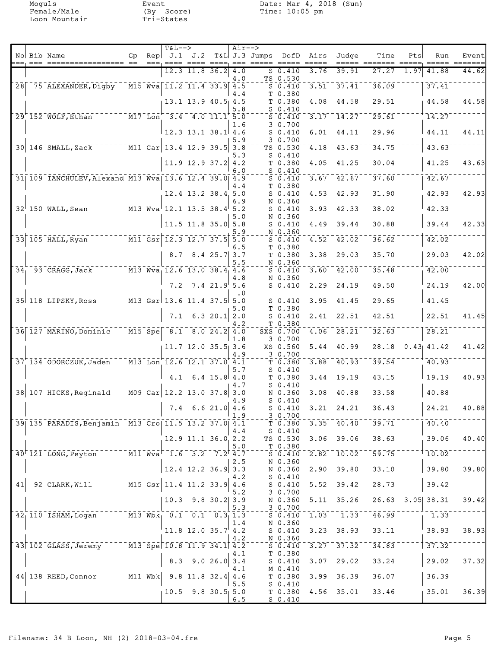|                 |                                                                                                                                               |     | <b>T&amp;L--&gt;</b>                                  |                                      |                | Air-->     |                    |                                                                                  |                   |                                      |                      |      |                     |               |
|-----------------|-----------------------------------------------------------------------------------------------------------------------------------------------|-----|-------------------------------------------------------|--------------------------------------|----------------|------------|--------------------|----------------------------------------------------------------------------------|-------------------|--------------------------------------|----------------------|------|---------------------|---------------|
|                 | No Bib Name                                                                                                                                   | Gp. | $\text{Rep}$ J.1 J.2                                  |                                      |                |            | T&L J.3 Jumps DofD |                                                                                  | Airs              | Judge<br>=====, ====                 | Time                 | Pts  | Run<br>=====        | Event<br>==== |
|                 |                                                                                                                                               |     |                                                       | $12.3$ 11.8 36.2                     |                | 4.0<br>4.0 |                    | 50.410<br>TS 0.530                                                               | 3.76              | 39.91                                | 27.27                | 1.97 | 41.88               | 44.62         |
| $\overline{28}$ | 75 ALEXANDER, Digby                                                                                                                           |     | $\overline{M15}$ $\overline{Wv}$ a 11.2 11.4 33.9 4.5 |                                      |                | 4.4        |                    | $S$ 0.410                                                                        |                   | $\overline{3.51}$ $\overline{37.41}$ | 36.09                |      | 37.41               |               |
|                 |                                                                                                                                               |     |                                                       | $13.1$ 13.9 40.5 4.5                 |                |            |                    | T 0.380<br>T 0.380                                                               | 4.08 <sub>1</sub> | 44.58                                | 29.51                |      | 44.58               | 44.58         |
|                 | $29^{+}$ 152 WOLF, Ethan $\overline{M17}$ Lon <sup>-</sup> 3.4 4.0 11.1 <sup>+</sup> 5.0                                                      |     |                                                       |                                      |                | 5.8        |                    | $S_0.410$<br>$S_0.410$                                                           | 3.17              | 14.27                                | $\overline{29.61}$   |      | 14.27               |               |
|                 |                                                                                                                                               |     |                                                       | $12.3$ 13.1 38.1 4.6                 |                | 1.6        |                    | 3 0.700<br>$S_0.410$                                                             | 6.01              | 44.11                                | 29.96                |      | 44.11               | 44.11         |
|                 | 30 146 SMALL, Zack M11 Car 13.4 12.9 39.5                                                                                                     |     |                                                       |                                      |                | 5.9<br>3.8 |                    | 30.700<br>TS 0.530                                                               | 4.18              | 43.63                                | 34.75                |      | 43.63               |               |
|                 |                                                                                                                                               |     |                                                       | $11.9$ 12.9 37.2                     |                | 5.3<br>4.2 |                    | $S_0.410$<br>T 0.380                                                             | 4.05              | 41.25                                | 30.04                |      | 41.25               | 43.63         |
|                 | 31 109 IANCHULEV, Alexand M13 Wva 13.6 12.4 39.0 4.9                                                                                          |     |                                                       |                                      |                | 6.0        |                    | $S_0.410$<br>$S_0.410$                                                           | 3.67              | $-42.67$                             | 37.60                |      | 42.67               |               |
|                 |                                                                                                                                               |     |                                                       | 12.4 13.2 38.4 5.0                   |                | 4.4        |                    | T 0.380<br>$S_0.410$                                                             | 4.53              | 42.93                                | 31.90                |      | 42.93               | 42.93         |
|                 | $    \overline{M3}$ $\overline{Wv}$ a $\overline{12.1}$ $\overline{13.5}$ $\overline{38.4}$ $\overline{5.2}$<br>$32^{\text{F}}150$ WALL, Sean |     |                                                       |                                      |                | 6.9        |                    | N 0.360<br>$S_0.410$                                                             | 3.93              | $-42.33$                             | 38.02                |      | $\overline{42.33}$  |               |
|                 |                                                                                                                                               |     |                                                       | $11.5$ 11.8 35.0 5.8                 |                | 5.0        |                    | N 0.360<br>$S_0.410$                                                             | 4.49              | 39.44                                | 30.88                |      | 39.44               | 42.33         |
|                 | 33 105 HALL, Ryan M11 Gsr 12.3 12.7 37.5                                                                                                      |     |                                                       |                                      |                | 5.9<br>5.0 |                    | N 0.360<br>$S_0.410$                                                             | 4.52              | 42.02                                | 36.62                |      | 42.02               |               |
|                 |                                                                                                                                               |     |                                                       | $8.7$ $8.4$ $25.7$ 3.7               |                | 6.5        |                    | T 0.380<br>T <sub>0.380</sub>                                                    | 3.38              | 29.03                                | 35.70                |      | 29.03               | 42.02         |
| 34 <sub>1</sub> | $\overline{M13}$ $\overline{W}a_1$ 12.6 13.0 38.4 4.6<br>93 CRAGG, Jack                                                                       |     |                                                       |                                      |                | 5.5<br>4.8 |                    | N 0.360<br>$S_0.410$<br>N 0.360                                                  | 3.60              | 42.00                                | 35.48                |      | 42.00               |               |
|                 |                                                                                                                                               |     |                                                       | $7.2$ $7.4$ $21.9$ 5.6               |                | . 0        |                    | $S_0.410$                                                                        | 2.29              | 24.19                                | 49.50                |      | 24.19               | 42.00         |
|                 | 35 118 LIPSKY, Ross                                                                                                                           |     | $M13$ Gsr 13.6 11.4 37.5 5.0                          |                                      |                | 5.0        |                    | $S_0.410$<br>T 0.380                                                             |                   | $3.95$ <sup>-41.45</sup>             | 29.65                |      | 41.45               |               |
|                 |                                                                                                                                               |     |                                                       | $7.1 \quad 6.3 \quad 20.1 \quad 2.0$ |                | 4.2        |                    | $S_0.410$<br>T 0.380                                                             | 2.41              | 22.51                                | 42.51                |      | 22.51               | 41.45         |
|                 | 36 127 MARINO, Dominic                                                                                                                        |     | $\overline{M15}$ Spe 8.1 8.0 24.2 4.0                 |                                      |                | 1.8        |                    | SXS 0.700<br>3 0.700                                                             | 4.06              | $\overline{28.21}$                   | 32.63                |      | 28.21               |               |
|                 |                                                                                                                                               |     |                                                       | $11.7$ 12.0 35.5 3.6                 |                | 4.9        |                    | XS 0.560<br>30.700                                                               | 5.44              | 40.99                                | 28.18                |      | $0.43$ 41.42        | 41.42         |
|                 | 37 134 ODORCZUK, Jaden                                                                                                                        |     | $\overline{M13}$ Lon $\overline{12.6}$ 12.1 37.0 4.1  |                                      |                | 5.7        |                    | T 0.380<br>$S_0.410$                                                             | 3.88              | 40.93                                | 39.54                |      | 40.93               |               |
|                 |                                                                                                                                               |     | 4.1                                                   |                                      | $6.4$ 15.8 4.0 | 4.7        |                    | T 0.380<br>$S_0.410$                                                             | 3.44              | 19.19                                | 43.15                |      | 19.19               | 40.93         |
|                 | 38 107 HICKS, Reginald                                                                                                                        |     | $\sqrt{109}$ Car 12.2 13.0 37.8 3.0                   |                                      |                | 4.9        |                    | $N$ 0.360<br>$S$ 0.410                                                           | 3.08              | 40.88                                | 33.58                |      | 40.88               |               |
|                 |                                                                                                                                               |     | 7.4                                                   |                                      | 6.621.0 4.6    | 1.9        |                    | $S_0.410$<br>30.700                                                              | 3.21              | 24.21                                | 36.43                |      | 24.21               | 40.88         |
|                 | 39 135 PARADIS, Benjamin M13 Cro 11.5 13.2 37.0 4.1                                                                                           |     |                                                       |                                      |                | 4.4        |                    | T 0.380<br>S 0.410                                                               |                   | $3.35$ $40.40$                       | 39.71                |      | 40.40               |               |
|                 |                                                                                                                                               |     |                                                       | $12.9$ 11.1 36.0 2.2                 |                | 5.0        |                    | TS 0.530<br>T 0.380                                                              |                   | $3.06$ 39.06                         | 38.63                |      | 39.06               | 40.40         |
|                 | 40 <sup>+</sup> 121 LONG, Peyton M11 Wva <sup>-1.6</sup> 3.2 7.2 <sup>+</sup> 4.7                                                             |     |                                                       |                                      |                | 2.5        |                    | $S \ 0.410$<br>N 0.360                                                           |                   | $2.82^{\dagger}$ $10.02^{\dagger}$   | 59.75                |      | $1\overline{10.02}$ |               |
|                 |                                                                                                                                               |     |                                                       | $12.4$ 12.2 36.9 3.3                 |                | 4.2        |                    | N 0.360<br>$S_0.410$                                                             | 2.90              | 39.80                                | 33.10                |      | 39.80               | 39.80         |
| $\overline{41}$ | $-$ 92 CLARK, Will $    \overline{M15}$ $\overline{Gsr}$ $11.4$ $11.2$ 33.9 $4.5$                                                             |     |                                                       |                                      |                | 5.2        |                    | S <sub>0.410</sub><br>30.700                                                     | 5.52              | $\overline{39.42}$                   | $\overline{28.73}$   |      | 39.42               |               |
|                 |                                                                                                                                               |     |                                                       | $10.3$ 9.8 30.2 3.9                  |                | 5.3        |                    | N 0.360<br>$-3 - 0.700$                                                          | 5.11              | 35.26                                |                      |      | 26.63 3.05 38.31    | 39.42         |
|                 | 42 110 ISHAM, Logan M13 Wbk, 0.1 0.1 0.3 1.3                                                                                                  |     |                                                       |                                      |                | 1.4        |                    | $\overline{\text{S}}$ $\overline{\text{0.410}}$ $\overline{\text{0}}$<br>N 0.360 |                   | $1.03 - 1.33$                        | $\overline{46.99}^-$ |      | $-1.33$             |               |
|                 |                                                                                                                                               |     |                                                       | $11.8$ 12.0 35.7 4.2                 |                | 4.2        |                    | S <sub>0.410</sub><br>N 0.360                                                    | 3.23              | 38.93                                | 33.11                |      | 38.93               | 38.93         |
|                 | 43 102 GLASS, Jeremy M13 Spe 10.8 11.9 34.1 4.2                                                                                               |     |                                                       |                                      |                | 4.1        |                    | S 0.410<br>T 0.380                                                               |                   | $\overline{3.27}$ $\overline{37.32}$ | $34.83$ <sup>-</sup> |      | 37.32               |               |
|                 |                                                                                                                                               |     |                                                       | $8.3$ 9.0 26.0                       |                | 3.4<br>4.1 |                    | S <sub>0.410</sub><br>M 0.410                                                    | 3.07              | 29.02                                | 33.24                |      | 29.02               | 37.32         |
|                 | 44 138 REED, Connor M11 Wbk 9.8 11.8 32.4 4.6                                                                                                 |     |                                                       |                                      |                | 5.5        |                    | T0.380<br>$S_0.410$                                                              |                   | $\overline{3.99}$ $\overline{36.39}$ | 36.07                |      | 36.39               |               |
|                 |                                                                                                                                               |     |                                                       | $10.5$ 9.8 30.5 5.0                  |                | 6.5        |                    | T 0.380<br>$S_0.410$                                                             |                   | $4.56$ 35.01                         | 33.46                |      | 35.01               | 36.39         |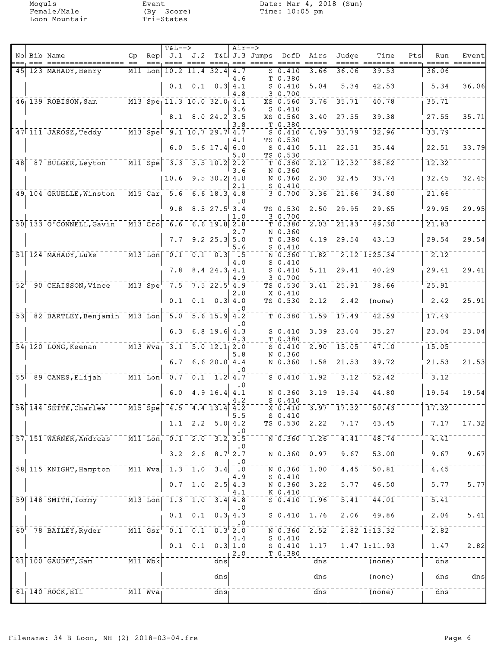|                 | No Bib Name                                                                        | Gp |                                                                                                            | <b>T&amp;L--&gt;</b><br>$\text{Rep}$ $\text{J.1}$ $\text{J.2}$                                                                                                                                                                                                                                                      |                                                                     |                                                     | Air-->           | T&L J.3 Jumps DofD Airs |                                                                             |                          | Judge             | Time                                                | Pts | Run               | Event |
|-----------------|------------------------------------------------------------------------------------|----|------------------------------------------------------------------------------------------------------------|---------------------------------------------------------------------------------------------------------------------------------------------------------------------------------------------------------------------------------------------------------------------------------------------------------------------|---------------------------------------------------------------------|-----------------------------------------------------|------------------|-------------------------|-----------------------------------------------------------------------------|--------------------------|-------------------|-----------------------------------------------------|-----|-------------------|-------|
| 451             | 123 MAHADY, Henry                                                                  |    | $M11$ Lon                                                                                                  |                                                                                                                                                                                                                                                                                                                     | ==== ====;<br>$10.2$ 11.4 32.4                                      |                                                     | 4.7              |                         | S 0.410                                                                     | 3.66                     | 36.06             | 39.53                                               |     | $== =$<br>36.06   |       |
|                 |                                                                                    |    |                                                                                                            | 0.1                                                                                                                                                                                                                                                                                                                 |                                                                     | $0.1 \quad 0.3 \mid 4.1$                            | 4.6              |                         | T 0.380<br>$S$ 0.410                                                        | 5.04                     | 5.34              | 42.53                                               |     | 5.34              | 36.06 |
|                 | $46$ <sub>1</sub> $139$ ROBISON, Sam <sup>--</sup>                                 |    |                                                                                                            | $\overline{M13}$ Spe $\overline{11.3}$ 10.0 32.0 4.1                                                                                                                                                                                                                                                                |                                                                     |                                                     | 4.8              |                         | 3 0.700<br>XS 0.560                                                         | 3.76                     | 35.71             | 40.78                                               |     | 35.71             |       |
|                 |                                                                                    |    |                                                                                                            | 8.1                                                                                                                                                                                                                                                                                                                 |                                                                     | 8.024.23.5                                          | 3.6              |                         | $S$ 0.410<br>XS 0.560                                                       | 3.40                     | 27.55             | 39.38                                               |     | 27.55             | 35.71 |
|                 | 47 111 JAROSZ, Teddy M13 Spe 9.1 10.7 29.7 4.7                                     |    |                                                                                                            |                                                                                                                                                                                                                                                                                                                     |                                                                     |                                                     | 3.8              |                         | T 0.380<br>$S_0.410$                                                        | 4.09                     | 33.79             | 32.96                                               |     | 33.79             |       |
|                 |                                                                                    |    |                                                                                                            |                                                                                                                                                                                                                                                                                                                     | $6.0$ 5.6 17.4 6.0                                                  |                                                     | 4.1              |                         | TS 0.530<br>$S_0.410$                                                       | 5.11                     | 22.51             | 35.44                                               |     | 22.51             | 33.79 |
| 48              | 87 BULGER, Leyton                                                                  |    |                                                                                                            | $\overline{M11}$ Spe $\overline{3.3}$                                                                                                                                                                                                                                                                               |                                                                     | $3.5$ $10.2$ $2.2$                                  | 5.0              |                         | TS 0.530<br>T 0.380                                                         | 2.12                     | 12.32             | 38.82                                               |     | 12.32             |       |
|                 |                                                                                    |    |                                                                                                            | 10.6                                                                                                                                                                                                                                                                                                                |                                                                     | $9.5$ 30.2 4.0                                      | 3.6<br>2.1       |                         | N 0.360<br>N 0.360<br>$S_0.410$                                             |                          | $2.30$ 32.45      | 33.74                                               |     | 32.45             | 32.45 |
|                 | 49 104 GRUELLE, Winston                                                            |    |                                                                                                            | $\overline{M15}$ Car, 5.6 6.6 18.3 4.8                                                                                                                                                                                                                                                                              |                                                                     |                                                     |                  |                         | 30.700                                                                      | 3.36                     | 21.66             | 34.80                                               |     | 21.66             |       |
|                 |                                                                                    |    |                                                                                                            | 9.8                                                                                                                                                                                                                                                                                                                 |                                                                     | $8.5$ 27.5 3.4                                      | . 0<br>1.0       |                         | TS 0.530<br>30.700                                                          | 2.50                     | 29.95             | 29.65                                               |     | 29.95             | 29.95 |
|                 | 50 133 0'CONNELL, Gavin                                                            |    |                                                                                                            | $\overline{M13}$ $\overline{Cro}$ $\overline{6.6}$                                                                                                                                                                                                                                                                  |                                                                     | $6.6$ 19.8 $2.8$                                    |                  |                         | T 0.380                                                                     | $\overline{2.03}$        | 21.83             | $\overline{49.30}$                                  |     | 21.83             |       |
|                 |                                                                                    |    |                                                                                                            | 7.7                                                                                                                                                                                                                                                                                                                 |                                                                     | $9.2$ 25.3 5.0                                      | 2.7<br>5.6       |                         | N 0.360<br>T 0.380<br>$S_0.410$                                             | 4.19                     | 29.54             | 43.13                                               |     | 29.54             | 29.54 |
|                 | $51$   124 MAHADY, Luke $124$ M13 Lon  0.1 0.1 0.3                                 |    |                                                                                                            |                                                                                                                                                                                                                                                                                                                     |                                                                     |                                                     | $\ddotsc$<br>4.0 |                         | N 0.360<br>$S_0.410$                                                        | $\overline{1.82}$        |                   | $\overline{2.12}$ $\overline{1.25.34}$              |     | 2.12              |       |
|                 |                                                                                    |    |                                                                                                            | 7.8                                                                                                                                                                                                                                                                                                                 |                                                                     | $8.4$ 24.3 4.1                                      | 4.9              |                         | $S_0.410$<br>3 0.700                                                        | 5.11                     | 29.41             | 40.29                                               |     | 29.41             | 29.41 |
|                 | $52^{\circ}$ $90^{\circ}$ CHAISSON, Vince                                          |    |                                                                                                            | $\overline{M13}$ $\overline{S}$ pe $\overline{7.5}$                                                                                                                                                                                                                                                                 |                                                                     | $7.522.5$ <sup>†</sup> 4.9                          |                  |                         | TS 0.530<br>X 0.410                                                         | 3.41                     | 25.91             | 38.66                                               |     | 25.91             |       |
|                 |                                                                                    |    |                                                                                                            | 0.1                                                                                                                                                                                                                                                                                                                 | 0.1                                                                 |                                                     | 2.0<br>0.3 4.0   |                         | TS 0.530                                                                    | 2.12                     | 2.42              | (none)                                              |     | 2.42              | 25.91 |
| $\overline{53}$ | 82 BARTLEY, Benjamin M13 Lon 5.0                                                   |    |                                                                                                            |                                                                                                                                                                                                                                                                                                                     |                                                                     | $\overline{5.6}$ $\overline{15.9}$ $\overline{4.2}$ |                  |                         | $T - 0.380$                                                                 | 1.59                     | 17.49             | 42.59                                               |     | 17.49             |       |
|                 |                                                                                    |    |                                                                                                            | 6.3                                                                                                                                                                                                                                                                                                                 |                                                                     | $6.8$ 19.6 4.3                                      | 4.3              |                         | $S_0.410$<br>T 0.380                                                        | 3.39                     | 23.04             | 35.27                                               |     | 23.04             | 23.04 |
|                 | $\overline{M13}$ $\overline{W}$ $\overline{u}$<br>$54$ <sub>120</sub> LONG, Keenan |    |                                                                                                            | $\sqrt{3.1}$                                                                                                                                                                                                                                                                                                        |                                                                     | $\overline{5.0}$ $\overline{12.1}$ $\overline{2.0}$ | 5.8              |                         | $S_0.410$<br>N 0.360                                                        | 2.90                     | 15.05             | 47.10                                               |     | 15.05             |       |
|                 |                                                                                    |    |                                                                                                            | 6.7                                                                                                                                                                                                                                                                                                                 |                                                                     | 6.620.04.4                                          |                  |                         | N 0.360                                                                     | 1.58                     | 21.53             | 39.72                                               |     | 21.53             | 21.53 |
|                 | 55 89 CANES, Elijah                                                                |    |                                                                                                            | $\frac{1}{2}$ $\frac{1}{2}$ $\frac{1}{2}$ $\frac{1}{2}$ $\frac{1}{2}$ $\frac{1}{2}$ $\frac{1}{2}$ $\frac{1}{2}$ $\frac{1}{2}$ $\frac{1}{2}$ $\frac{1}{2}$ $\frac{1}{2}$ $\frac{1}{2}$ $\frac{1}{2}$ $\frac{1}{2}$ $\frac{1}{2}$ $\frac{1}{2}$ $\frac{1}{2}$ $\frac{1}{2}$ $\frac{1}{2}$ $\frac{1}{2}$ $\frac{1}{2}$ |                                                                     |                                                     |                  |                         | $\bar{s}$ $\bar{0}$ $\bar{s}$ $\bar{4}$ $\bar{1}$ $\bar{0}$                 | $\bar{1}$ . 92 $\bar{1}$ | $\overline{3.12}$ | 52.42                                               |     | 3.12              |       |
|                 |                                                                                    |    |                                                                                                            |                                                                                                                                                                                                                                                                                                                     | 6.0 $4.9 16.4   4.1$                                                |                                                     | . 0              |                         | N 0.360<br>$S_0.410$                                                        | 3.19                     | 19.54             | 44.80                                               |     | 19.54             | 19.54 |
|                 | $56$ $144$ $5E$ TTE, Charles                                                       |    |                                                                                                            | $\sqrt{M15}$ Spe $\sqrt{4.5}$ 4.4 13.4 4.2                                                                                                                                                                                                                                                                          |                                                                     |                                                     | 5.5              |                         | $X$ 0.410<br>$S_0.410$                                                      | 3.97                     | $-17.32$          | 50.43                                               |     | 17.32             |       |
|                 |                                                                                    |    |                                                                                                            | 1.1                                                                                                                                                                                                                                                                                                                 |                                                                     | $2.2$ 5.0 4.2                                       | . 0              |                         | TS 0.530                                                                    | 2.22                     | 7.17              | 43.45                                               |     | 7.17              | 17.32 |
|                 | 57, 151 WARNER, Andreas                                                            |    | $\bar{M1}$ $\bar{1}$ $\bar{L}$ on $\bar{N}$                                                                | $\overline{0.1}^{-1}$                                                                                                                                                                                                                                                                                               |                                                                     | $2.0$ $3.2$ $3.5$                                   |                  |                         | $\bar{N}$ $\bar{0}$ .360                                                    | $\overline{1.26}$        | $\overline{4.41}$ | 48.74                                               |     | $\overline{4.41}$ |       |
|                 |                                                                                    |    |                                                                                                            | 3.2                                                                                                                                                                                                                                                                                                                 |                                                                     | 2.6 $8.7$ 2.7                                       | . ប              |                         | N 0.360                                                                     | 0.97                     | 9.67              | 53.00                                               |     | 9.67              | 9.67  |
|                 | 58 115 KNIGHT, Hampton                                                             |    |                                                                                                            | $\overline{M11}$ $\overline{W}$ va 1.3 1.0 3.4                                                                                                                                                                                                                                                                      |                                                                     |                                                     | .0<br>4.9        |                         | $\bar{\texttt{N}}$ $\bar{\texttt{0}}$ . 360<br>$S_0.410$                    | $\mathbf{\bar{1.00}}$    | 4.45              | 50.81                                               |     | 4.45              |       |
|                 |                                                                                    |    |                                                                                                            | 0.7                                                                                                                                                                                                                                                                                                                 |                                                                     | 1.0 2.5 4.3                                         | 4.1              |                         | N 0.360<br>K 0.410                                                          | 3.22                     | 5.77              | 46.50                                               |     | 5.77              | 5.77  |
|                 | $59$ $148$ $\overline{\text{SMTH}}$ , $\overline{\text{Tomm}}$                     |    | $\bar{M}$ 13 $\bar{L}$ on $\bar{L}$                                                                        |                                                                                                                                                                                                                                                                                                                     | $\begin{bmatrix} 1.3 & 1.0 & 3.4 \end{bmatrix}$ 4.8                 |                                                     |                  |                         | $\bar{s}$ $\bar{0}$ $\bar{4}$ $\bar{1}$ $\bar{0}$                           | $\mathbf{\bar{1.96}}$    | $\overline{5.41}$ | $\bar{4}\bar{4}\bar{.}01$                           |     | $\overline{5.41}$ |       |
|                 |                                                                                    |    |                                                                                                            |                                                                                                                                                                                                                                                                                                                     | $0.1 \quad 0.1 \quad 0.3$ 4.3                                       |                                                     |                  |                         | $S_0.410$                                                                   | 1.76                     | 2.06 <sub>1</sub> | 49.86                                               |     | 2.06              | 5.41  |
|                 | $60°$ 78 BAILEY, Ryder                                                             |    | $\bar{\texttt{M}}\bar{\texttt{l}}\bar{\texttt{l}}$ $\bar{\texttt{G}}\bar{\texttt{s}}\bar{\texttt{r}}^\top$ |                                                                                                                                                                                                                                                                                                                     | $\overline{0.1}$ $\overline{0.1}$ $\overline{0.3}$ $\overline{2.0}$ |                                                     | 4.4              |                         | $\bar{\texttt{N}}$ $\bar{\texttt{0}}$ . 360 $\bar{\texttt{0}}$<br>$S_0.410$ | $\overline{2.52}^+$      |                   | $\overline{2.82}$ <sup>r</sup> $\overline{1.13.32}$ |     | 2.82              |       |
|                 |                                                                                    |    |                                                                                                            | 0.1                                                                                                                                                                                                                                                                                                                 |                                                                     | $0.1 \quad 0.3 \, 1.0$                              | 2.0              |                         | $S_0.410$<br>T 0.380                                                        | 1.17                     |                   | $1.47 \mid 1:11.93$                                 |     | 1.47              | 2.82  |
|                 | $61$ $100$ $6AUDET$ , $Sam$                                                        |    | $\bar{M}$ l $\bar{1}$ w $\bar{b}$ k $\bar{k}$                                                              |                                                                                                                                                                                                                                                                                                                     |                                                                     | dns                                                 |                  |                         |                                                                             | dns                      |                   | $\overline{(\text{none})}$                          |     | dns               |       |
|                 |                                                                                    |    |                                                                                                            |                                                                                                                                                                                                                                                                                                                     |                                                                     | dns                                                 |                  |                         |                                                                             | dns                      |                   | (none)                                              |     | dns               | dns   |
|                 | $61$   140 ROCK, Eli                                                               |    | $M11$ Wva                                                                                                  |                                                                                                                                                                                                                                                                                                                     |                                                                     | dns                                                 |                  |                         |                                                                             | $dns_1$                  |                   | (none)                                              |     | dns               |       |